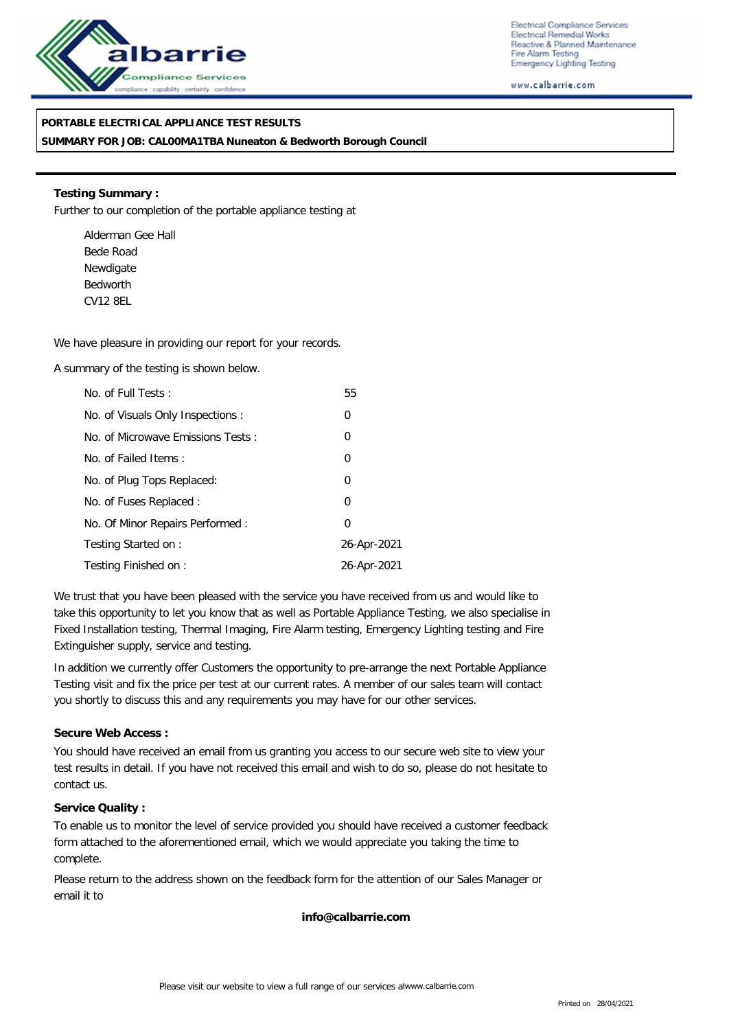

Electrical Compliance Services Electrical Remedial Works Reactive & Planned Maintenance Fire Alarm Testing Emergency Lighting Testing

www.calbarrie.com

## **PORTABLE ELECTRICAL APPLIANCE TEST RESULTS**

**SUMMARY FOR JOB: CAL00MA1TBA Nuneaton & Bedworth Borough Council**

**Testing Summary :** Further to our completion of the portable appliance testing at

Alderman Gee Hall Bede Road Newdigate Bedworth CV12 8EL

We have pleasure in providing our report for your records.

A summary of the testing is shown below.

| No. of Full Tests:                | 55             |
|-----------------------------------|----------------|
| No. of Visuals Only Inspections : | 0              |
| No. of Microwave Emissions Tests: | 0              |
| No. of Failed Items:              | $\overline{0}$ |
| No. of Plug Tops Replaced:        | $\overline{0}$ |
| No. of Fuses Replaced:            | 0              |
| No. Of Minor Repairs Performed:   | $\Omega$       |
| Testing Started on:               | 26-Apr-2021    |
| Testing Finished on:              | 26-Apr-2021    |

We trust that you have been pleased with the service you have received from us and would like to take this opportunity to let you know that as well as Portable Appliance Testing, we also specialise in Fixed Installation testing, Thermal Imaging, Fire Alarm testing, Emergency Lighting testing and Fire Extinguisher supply, service and testing.

In addition we currently offer Customers the opportunity to pre-arrange the next Portable Appliance Testing visit and fix the price per test at our current rates. A member of our sales team will contact you shortly to discuss this and any requirements you may have for our other services.

### **Secure Web Access :**

You should have received an email from us granting you access to our secure web site to view your test results in detail. If you have not received this email and wish to do so, please do not hesitate to contact us.

### **Service Quality :**

To enable us to monitor the level of service provided you should have received a customer feedback form attached to the aforementioned email, which we would appreciate you taking the time to complete.

Please return to the address shown on the feedback form for the attention of our Sales Manager or email it to

**info@calbarrie.com**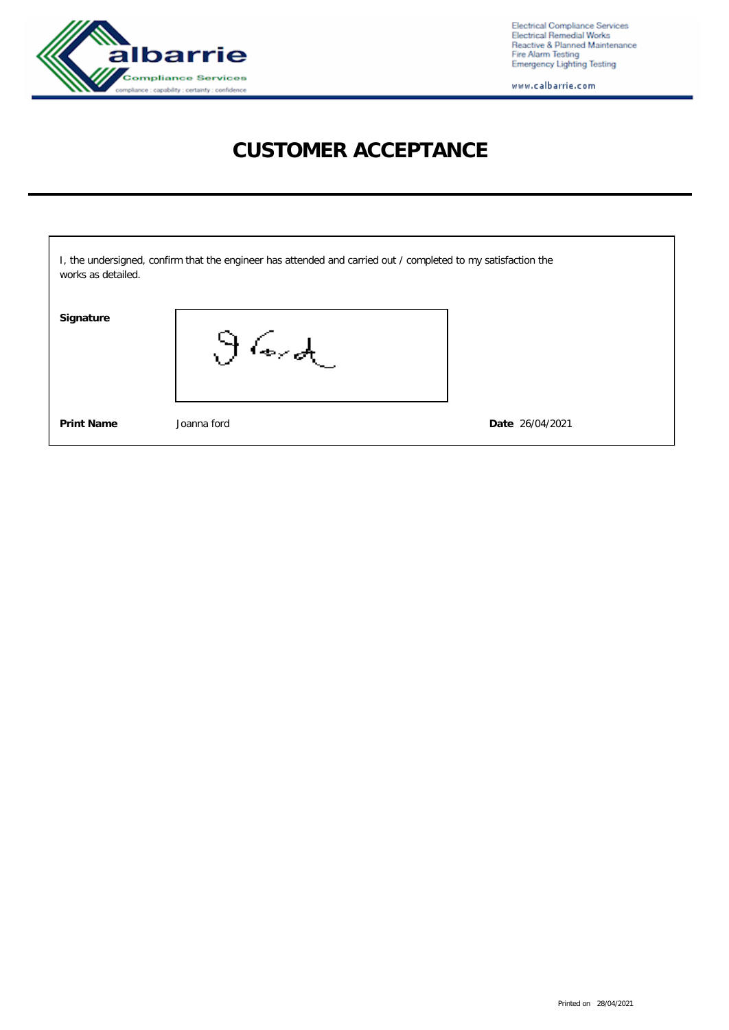

Electrical Compliance Services<br>Electrical Remedial Works<br>Reactive & Planned Maintenance<br>Fire Alarm Testing<br>Emergency Lighting Testing

www.calbarrie.com

# **CUSTOMER ACCEPTANCE**

| works as detailed. | I, the undersigned, confirm that the engineer has attended and carried out / completed to my satisfaction the |                 |
|--------------------|---------------------------------------------------------------------------------------------------------------|-----------------|
| Signature          | $\partial$ lord                                                                                               |                 |
| <b>Print Name</b>  | Joanna ford                                                                                                   | Date 26/04/2021 |

Printed on 28/04/2021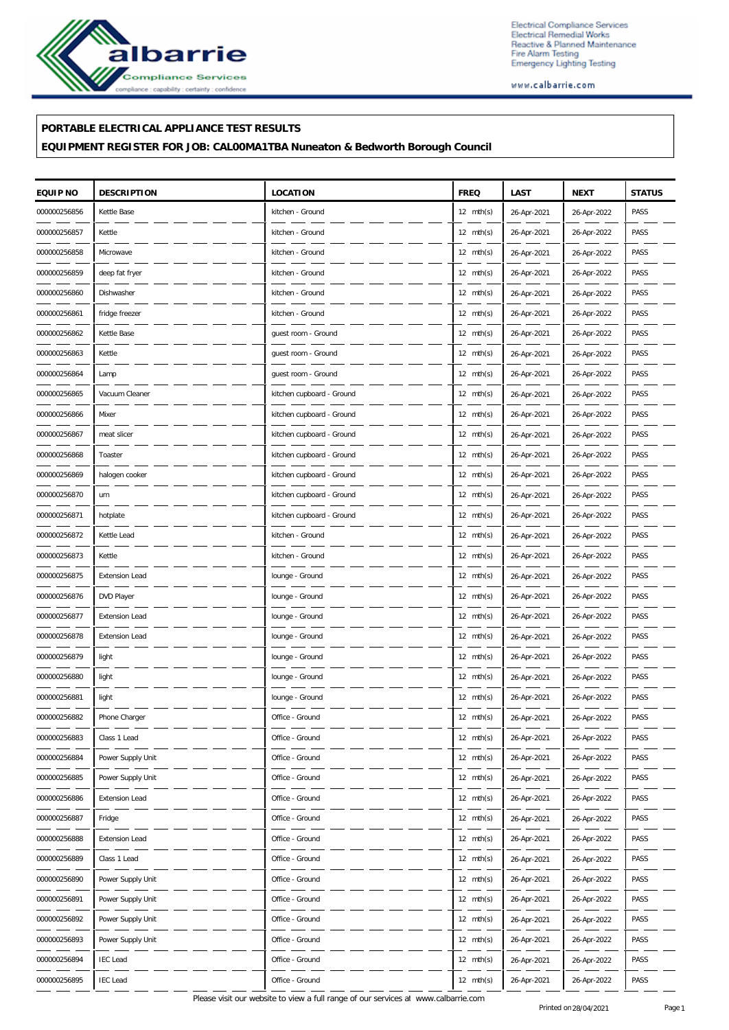

Electrical Compliance Services Electrical Compliance Services<br>Electrical Remedial Works<br>Reactive & Planned Maintenance<br>Fire Alarm Testing<br>Emergency Lighting Testing

www.calbarrie.com

## **PORTABLE ELECTRICAL APPLIANCE TEST RESULTS**

**EQUIPMENT REGISTER FOR JOB: CAL00MA1TBA Nuneaton & Bedworth Borough Council**

| EQUIP NO     | <b>DESCRIPTION</b>    | <b>LOCATION</b>           | <b>FREQ</b>         | LAST        | <b>NEXT</b> | <b>STATUS</b> |
|--------------|-----------------------|---------------------------|---------------------|-------------|-------------|---------------|
| 000000256856 | Kettle Base           | kitchen - Ground          | $12 \text{ mth(s)}$ | 26-Apr-2021 | 26-Apr-2022 | PASS          |
| 000000256857 | Kettle                | kitchen - Ground          | $12 \text{ mth(s)}$ | 26-Apr-2021 | 26-Apr-2022 | PASS          |
| 000000256858 | Microwave             | kitchen - Ground          | $12 \text{ mth(s)}$ | 26-Apr-2021 | 26-Apr-2022 | PASS          |
| 000000256859 | deep fat fryer        | kitchen - Ground          | $12 \text{ mth(s)}$ | 26-Apr-2021 | 26-Apr-2022 | PASS          |
| 000000256860 | Dishwasher            | kitchen - Ground          | $12 \text{ mth(s)}$ | 26-Apr-2021 | 26-Apr-2022 | PASS          |
| 000000256861 | fridge freezer        | kitchen - Ground          | $12 \text{ mth(s)}$ | 26-Apr-2021 | 26-Apr-2022 | PASS          |
| 000000256862 | Kettle Base           | guest room - Ground       | $12 \text{ mth(s)}$ | 26-Apr-2021 | 26-Apr-2022 | PASS          |
| 000000256863 | Kettle                | guest room - Ground       | $12 \text{ mth(s)}$ | 26-Apr-2021 | 26-Apr-2022 | PASS          |
| 000000256864 | Lamp                  | guest room - Ground       | $12 \text{ mth(s)}$ | 26-Apr-2021 | 26-Apr-2022 | PASS          |
| 000000256865 | Vacuum Cleaner        | kitchen cupboard - Ground | $12 \text{ mth(s)}$ | 26-Apr-2021 | 26-Apr-2022 | PASS          |
| 000000256866 | Mixer                 | kitchen cupboard - Ground | $12 \text{ mth(s)}$ | 26-Apr-2021 | 26-Apr-2022 | PASS          |
| 000000256867 | meat slicer           | kitchen cupboard - Ground | $12 \text{ mth(s)}$ | 26-Apr-2021 | 26-Apr-2022 | PASS          |
| 000000256868 | Toaster               | kitchen cupboard - Ground | $12 \text{ mth(s)}$ | 26-Apr-2021 | 26-Apr-2022 | PASS          |
| 000000256869 | halogen cooker        | kitchen cupboard - Ground | $12 \text{ mth(s)}$ | 26-Apr-2021 | 26-Apr-2022 | PASS          |
| 000000256870 | urn                   | kitchen cupboard - Ground | $12 \text{ mth(s)}$ | 26-Apr-2021 | 26-Apr-2022 | PASS          |
| 000000256871 | hotplate              | kitchen cupboard - Ground | $12 \text{ mth(s)}$ | 26-Apr-2021 | 26-Apr-2022 | PASS          |
| 000000256872 | Kettle Lead           | kitchen - Ground          | 12 $mth(s)$         | 26-Apr-2021 | 26-Apr-2022 | PASS          |
| 000000256873 | Kettle                | kitchen - Ground          | $12 \text{ mth(s)}$ | 26-Apr-2021 | 26-Apr-2022 | PASS          |
| 000000256875 | <b>Extension Lead</b> | lounge - Ground           | $12 \text{ mth(s)}$ | 26-Apr-2021 | 26-Apr-2022 | PASS          |
| 000000256876 | DVD Player            | lounge - Ground           | $12 \text{ mth(s)}$ | 26-Apr-2021 | 26-Apr-2022 | PASS          |
| 000000256877 | <b>Extension Lead</b> | lounge - Ground           | 12 $mth(s)$         | 26-Apr-2021 | 26-Apr-2022 | PASS          |
| 000000256878 | <b>Extension Lead</b> | lounge - Ground           | $12 \text{ mth(s)}$ | 26-Apr-2021 | 26-Apr-2022 | PASS          |
| 000000256879 | light                 | lounge - Ground           | $12 \text{ mth(s)}$ | 26-Apr-2021 | 26-Apr-2022 | PASS          |
| 000000256880 | light                 | lounge - Ground           | $12 \text{ mth(s)}$ | 26-Apr-2021 | 26-Apr-2022 | PASS          |
| 000000256881 | light                 | lounge - Ground           | 12 $mth(s)$         | 26-Apr-2021 | 26-Apr-2022 | PASS          |
| 000000256882 | Phone Charger         | Office - Ground           | $12 \text{ mth(s)}$ | 26-Apr-2021 | 26-Apr-2022 | PASS          |
| 000000256883 | Class 1 Lead          | Office - Ground           | $12 \text{ mth(s)}$ | 26-Apr-2021 | 26-Apr-2022 | PASS          |
| 000000256884 | Power Supply Unit     | Office - Ground           | $12 \text{ mth(s)}$ | 26-Apr-2021 | 26-Apr-2022 | PASS          |
| 000000256885 | Power Supply Unit     | Office - Ground           | 12 $mth(s)$         | 26-Apr-2021 | 26-Apr-2022 | PASS          |
| 000000256886 | <b>Extension Lead</b> | Office - Ground           | 12 $mth(s)$         | 26-Apr-2021 | 26-Apr-2022 | PASS          |
| 000000256887 | Fridge                | Office - Ground           | $12 \text{ mth(s)}$ | 26-Apr-2021 | 26-Apr-2022 | PASS          |
| 000000256888 | Extension Lead        | Office - Ground           | $12 \text{ mth(s)}$ | 26-Apr-2021 | 26-Apr-2022 | PASS          |
| 000000256889 | Class 1 Lead          | Office - Ground           | $12 \text{ mth(s)}$ | 26-Apr-2021 | 26-Apr-2022 | PASS          |
| 000000256890 | Power Supply Unit     | Office - Ground           | 12 $mth(s)$         | 26-Apr-2021 | 26-Apr-2022 | PASS          |
| 000000256891 | Power Supply Unit     | Office - Ground           | $12 \text{ mth(s)}$ | 26-Apr-2021 | 26-Apr-2022 | PASS          |
| 000000256892 | Power Supply Unit     | Office - Ground           | $12 \text{ mth(s)}$ | 26-Apr-2021 | 26-Apr-2022 | PASS          |
| 000000256893 | Power Supply Unit     | Office - Ground           | 12 $mth(s)$         | 26-Apr-2021 | 26-Apr-2022 | PASS          |
| 000000256894 | <b>IEC Lead</b>       | Office - Ground           | 12 mth(s)           | 26-Apr-2021 | 26-Apr-2022 | PASS          |
| 000000256895 | <b>IEC</b> Lead       | Office - Ground           | 12 $mth(s)$         | 26-Apr-2021 | 26-Apr-2022 | PASS          |

Please visit our website to view a full range of our services at www.calbarrie.com Printed on 28/04/2021 Page 1